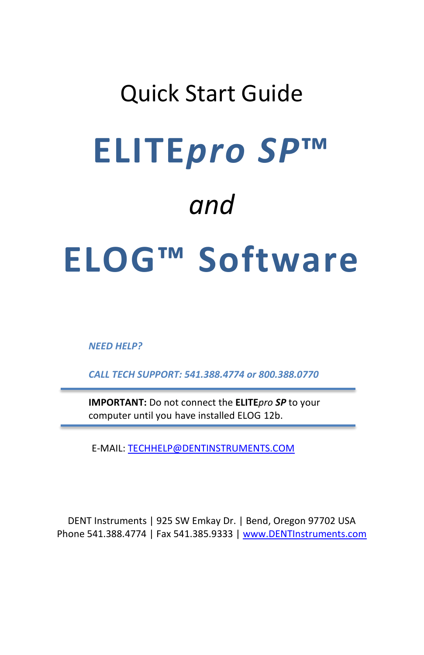# Quick Start Guide **ELITE***pro SP***™** *and* **ELOG™ Software**

*NEED HELP?*

*CALL TECH SUPPORT: 541.388.4774 or 800.388.0770*

**IMPORTANT:** Do not connect the **ELITE***pro SP* to your computer until you have installed ELOG 12b.

E-MAIL[: TECHHELP@DENTINSTRUMENTS.COM](mailto:TECHHELP@DENTINSTRUMENTS.COM)

DENT Instruments | 925 SW Emkay Dr. | Bend, Oregon 97702 USA Phone 541.388.4774 | Fax 541.385.9333 | www.DENTInstruments.com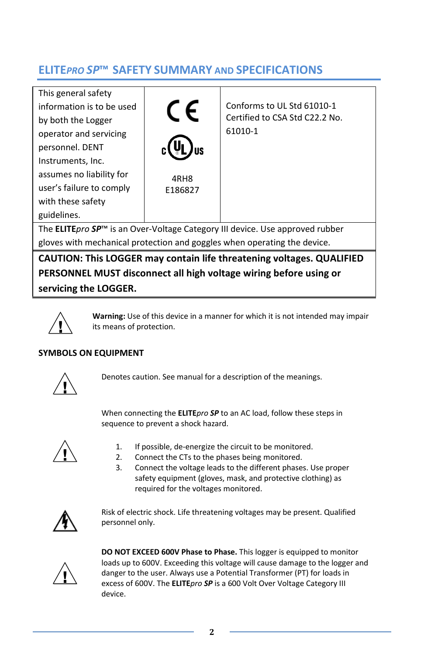# **ELITE***PRO SP***™ SAFETY SUMMARY AND SPECIFICATIONS**

This general safety information is to be used by both the Logger operator and servicing personnel. DENT Instruments, Inc. assumes no liability for user's failure to comply with these safety guidelines.



Conforms to UL Std 61010-1 Certified to CSA Std C22.2 No. 61010-1

The **ELITE***pro SP*™ is an Over-Voltage Category III device. Use approved rubber gloves with mechanical protection and goggles when operating the device.

**CAUTION: This LOGGER may contain life threatening voltages. QUALIFIED PERSONNEL MUST disconnect all high voltage wiring before using or servicing the LOGGER.**



**Warning:** Use of this device in a manner for which it is not intended may impair its means of protection.

## **SYMBOLS ON EQUIPMENT**



Denotes caution. See manual for a description of the meanings.

When connecting the **ELITE***pro SP* to an AC load, follow these steps in sequence to prevent a shock hazard.



- 1. If possible, de-energize the circuit to be monitored.
- 2. Connect the CTs to the phases being monitored.
- 3. Connect the voltage leads to the different phases. Use proper safety equipment (gloves, mask, and protective clothing) as required for the voltages monitored.



Risk of electric shock. Life threatening voltages may be present. Qualified personnel only.



**DO NOT EXCEED 600V Phase to Phase.** This logger is equipped to monitor loads up to 600V. Exceeding this voltage will cause damage to the logger and danger to the user. Always use a Potential Transformer (PT) for loads in excess of 600V. The **ELITE***pro SP* is a 600 Volt Over Voltage Category III device.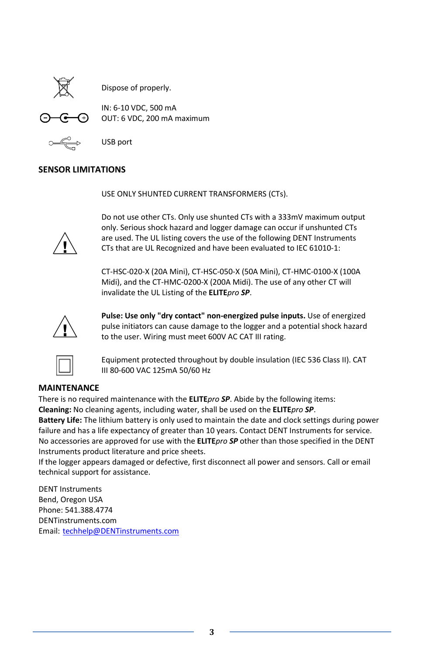

Dispose of properly.

$$
\Theta \text{--} \Theta
$$

IN: 6-10 VDC, 500 mA OUT: 6 VDC, 200 mA maximum



USB port

#### **SENSOR LIMITATIONS**

USE ONLY SHUNTED CURRENT TRANSFORMERS (CTs).



Do not use other CTs. Only use shunted CTs with a 333mV maximum output only. Serious shock hazard and logger damage can occur if unshunted CTs are used. The UL listing covers the use of the following DENT Instruments CTs that are UL Recognized and have been evaluated to IEC 61010-1:

CT-HSC-020-X (20A Mini), CT-HSC-050-X (50A Mini), CT-HMC-0100-X (100A Midi), and the CT-HMC-0200-X (200A Midi). The use of any other CT will invalidate the UL Listing of the **ELITE***pro SP*.



**Pulse: Use only "dry contact" non-energized pulse inputs.** Use of energized pulse initiators can cause damage to the logger and a potential shock hazard to the user. Wiring must meet 600V AC CAT III rating.



Equipment protected throughout by double insulation (IEC 536 Class II). CAT III 80-600 VAC 125mA 50/60 Hz

#### **MAINTENANCE**

There is no required maintenance with the **ELITE***pro SP*. Abide by the following items: **Cleaning:** No cleaning agents, including water, shall be used on the **ELITE***pro SP*.

**Battery Life:** The lithium battery is only used to maintain the date and clock settings during power failure and has a life expectancy of greater than 10 years. Contact DENT Instruments for service. No accessories are approved for use with the **ELITE***pro SP* other than those specified in the DENT Instruments product literature and price sheets.

If the logger appears damaged or defective, first disconnect all power and sensors. Call or email technical support for assistance.

DENT Instruments Bend, Oregon USA Phone: 541.388.4774 DENTinstruments.com Email: [techhelp@DENTinstruments.com](mailto:techhelp@DENTinstruments.com)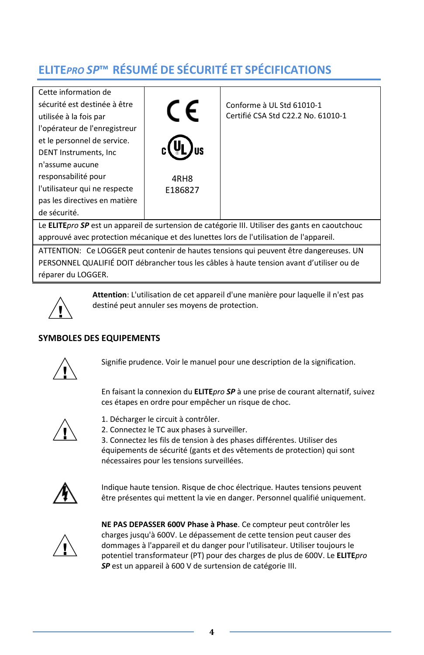# **ELITE***PRO SP***™ RÉSUMÉ DE SÉCURITÉ ET SPÉCIFICATIONS**

Cette information de sécurité est destinée à être utilisée à la fois par l'opérateur de l'enregistreur et le personnel de service. DENT Instruments, Inc n'assume aucune responsabilité pour l'utilisateur qui ne respecte pas les directives en matière de sécurité.



Conforme à UL Std 61010-1 Certifié CSA Std C22.2 No. 61010-1

Le **ELITE***pro SP* est un appareil de surtension de catégorie III. Utiliser des gants en caoutchouc approuvé avec protection mécanique et des lunettes lors de l'utilisation de l'appareil.

ATTENTION: Ce LOGGER peut contenir de hautes tensions qui peuvent être dangereuses. UN PERSONNEL QUALIFIÉ DOIT débrancher tous les câbles à haute tension avant d'utiliser ou de réparer du LOGGER.



**Attention**: L'utilisation de cet appareil d'une manière pour laquelle il n'est pas destiné peut annuler ses moyens de protection.

## **SYMBOLES DES EQUIPEMENTS**



Signifie prudence. Voir le manuel pour une description de la signification.

En faisant la connexion du **ELITE***pro SP* à une prise de courant alternatif, suivez ces étapes en ordre pour empêcher un risque de choc.



1. Décharger le circuit à contrôler.

2. Connectez le TC aux phases à surveiller.

3. Connectez les fils de tension à des phases différentes. Utiliser des équipements de sécurité (gants et des vêtements de protection) qui sont nécessaires pour les tensions surveillées.



Indique haute tension. Risque de choc électrique. Hautes tensions peuvent être présentes qui mettent la vie en danger. Personnel qualifié uniquement.



**NE PAS DEPASSER 600V Phase à Phase**. Ce compteur peut contrôler les charges jusqu'à 600V. Le dépassement de cette tension peut causer des dommages à l'appareil et du danger pour l'utilisateur. Utiliser toujours le potentiel transformateur (PT) pour des charges de plus de 600V. Le **ELITE***pro SP* est un appareil à 600 V de surtension de catégorie III.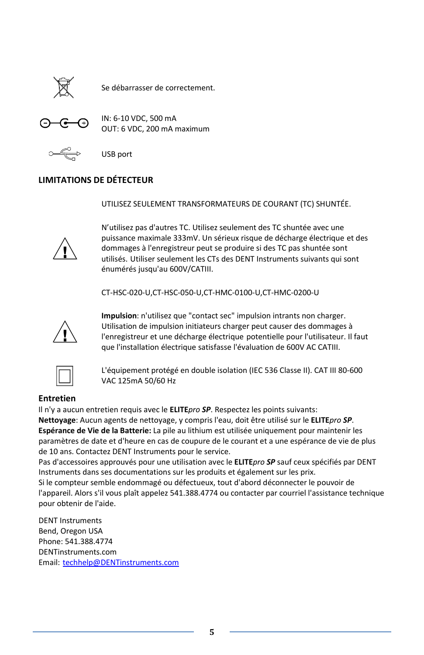

Se débarrasser de correctement.



IN: 6-10 VDC, 500 mA OUT: 6 VDC, 200 mA maximum



USB port

#### **LIMITATIONS DE DÉTECTEUR**

UTILISEZ SEULEMENT TRANSFORMATEURS DE COURANT (TC) SHUNTÉE.



N'utilisez pas d'autres TC. Utilisez seulement des TC shuntée avec une puissance maximale 333mV. Un sérieux risque de décharge électrique et des dommages à l'enregistreur peut se produire si des TC pas shuntée sont utilisés. Utiliser seulement les CTs des DENT Instruments suivants qui sont énumérés jusqu'au 600V/CATIII.

CT-HSC-020-U,CT-HSC-050-U,CT-HMC-0100-U,CT-HMC-0200-U



**Impulsion**: n'utilisez que "contact sec" impulsion intrants non charger. Utilisation de impulsion initiateurs charger peut causer des dommages à l'enregistreur et une décharge électrique potentielle pour l'utilisateur. Il faut que l'installation électrique satisfasse l'évaluation de 600V AC CATIII.



L'équipement protégé en double isolation (IEC 536 Classe II). CAT III 80-600 VAC 125mA 50/60 Hz

## **Entretien**

Il n'y a aucun entretien requis avec le **ELITE***pro SP*. Respectez les points suivants: **Nettoyage**: Aucun agents de nettoyage, y compris l'eau, doit être utilisé sur le **ELITE***pro SP*. **Espérance de Vie de la Batterie:** La pile au lithium est utilisée uniquement pour maintenir les paramètres de date et d'heure en cas de coupure de le courant et a une espérance de vie de plus de 10 ans. Contactez DENT Instruments pour le service.

Pas d'accessoires approuvés pour une utilisation avec le **ELITE***pro SP* sauf ceux spécifiés par DENT Instruments dans ses documentations sur les produits et également sur les prix.

Si le compteur semble endommagé ou défectueux, tout d'abord déconnecter le pouvoir de l'appareil. Alors s'il vous plaît appelez 541.388.4774 ou contacter par courriel l'assistance technique pour obtenir de l'aide.

DENT Instruments Bend, Oregon USA Phone: 541.388.4774 DENTinstruments.com Email: [techhelp@DENTinstruments.com](mailto:techhelp@DENTinstruments.com)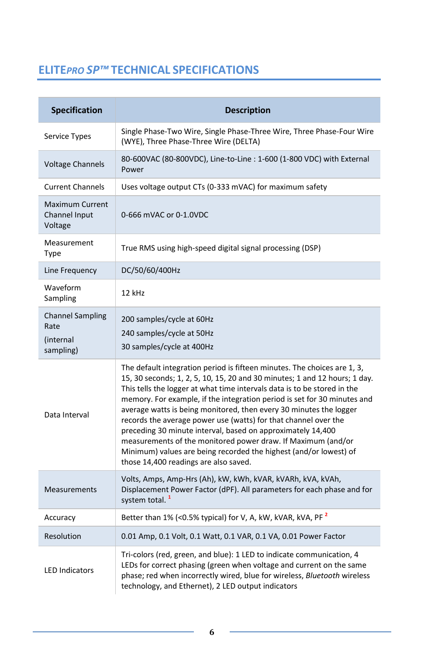# **ELITE***PRO SP™* **TECHNICAL SPECIFICATIONS**

| Specification                                             | <b>Description</b>                                                                                                                                                                                                                                                                                                                                                                                                                                                                                                                                                                                                                                                                                   |  |  |  |  |  |
|-----------------------------------------------------------|------------------------------------------------------------------------------------------------------------------------------------------------------------------------------------------------------------------------------------------------------------------------------------------------------------------------------------------------------------------------------------------------------------------------------------------------------------------------------------------------------------------------------------------------------------------------------------------------------------------------------------------------------------------------------------------------------|--|--|--|--|--|
| Service Types                                             | Single Phase-Two Wire, Single Phase-Three Wire, Three Phase-Four Wire<br>(WYE), Three Phase-Three Wire (DELTA)                                                                                                                                                                                                                                                                                                                                                                                                                                                                                                                                                                                       |  |  |  |  |  |
| <b>Voltage Channels</b>                                   | 80-600VAC (80-800VDC), Line-to-Line: 1-600 (1-800 VDC) with External<br>Power                                                                                                                                                                                                                                                                                                                                                                                                                                                                                                                                                                                                                        |  |  |  |  |  |
| <b>Current Channels</b>                                   | Uses voltage output CTs (0-333 mVAC) for maximum safety                                                                                                                                                                                                                                                                                                                                                                                                                                                                                                                                                                                                                                              |  |  |  |  |  |
| <b>Maximum Current</b><br>Channel Input<br>Voltage        | 0-666 mVAC or 0-1.0VDC                                                                                                                                                                                                                                                                                                                                                                                                                                                                                                                                                                                                                                                                               |  |  |  |  |  |
| Measurement<br>Type                                       | True RMS using high-speed digital signal processing (DSP)                                                                                                                                                                                                                                                                                                                                                                                                                                                                                                                                                                                                                                            |  |  |  |  |  |
| Line Frequency                                            | DC/50/60/400Hz                                                                                                                                                                                                                                                                                                                                                                                                                                                                                                                                                                                                                                                                                       |  |  |  |  |  |
| Waveform<br>Sampling                                      | 12 kHz                                                                                                                                                                                                                                                                                                                                                                                                                                                                                                                                                                                                                                                                                               |  |  |  |  |  |
| <b>Channel Sampling</b><br>Rate<br>(internal<br>sampling) | 200 samples/cycle at 60Hz<br>240 samples/cycle at 50Hz<br>30 samples/cycle at 400Hz                                                                                                                                                                                                                                                                                                                                                                                                                                                                                                                                                                                                                  |  |  |  |  |  |
| Data Interval                                             | The default integration period is fifteen minutes. The choices are 1, 3,<br>15, 30 seconds; 1, 2, 5, 10, 15, 20 and 30 minutes; 1 and 12 hours; 1 day.<br>This tells the logger at what time intervals data is to be stored in the<br>memory. For example, if the integration period is set for 30 minutes and<br>average watts is being monitored, then every 30 minutes the logger<br>records the average power use (watts) for that channel over the<br>preceding 30 minute interval, based on approximately 14,400<br>measurements of the monitored power draw. If Maximum (and/or<br>Minimum) values are being recorded the highest (and/or lowest) of<br>those 14,400 readings are also saved. |  |  |  |  |  |
| <b>Measurements</b>                                       | Volts, Amps, Amp-Hrs (Ah), kW, kWh, kVAR, kVARh, kVA, kVAh,<br>Displacement Power Factor (dPF). All parameters for each phase and for<br>system total. <sup>1</sup>                                                                                                                                                                                                                                                                                                                                                                                                                                                                                                                                  |  |  |  |  |  |
| Accuracy                                                  | Better than 1% (<0.5% typical) for V, A, kW, kVAR, kVA, PF <sup>2</sup>                                                                                                                                                                                                                                                                                                                                                                                                                                                                                                                                                                                                                              |  |  |  |  |  |
| Resolution                                                | 0.01 Amp, 0.1 Volt, 0.1 Watt, 0.1 VAR, 0.1 VA, 0.01 Power Factor                                                                                                                                                                                                                                                                                                                                                                                                                                                                                                                                                                                                                                     |  |  |  |  |  |
| <b>LED Indicators</b>                                     | Tri-colors (red, green, and blue): 1 LED to indicate communication, 4<br>LEDs for correct phasing (green when voltage and current on the same<br>phase; red when incorrectly wired, blue for wireless, Bluetooth wireless<br>technology, and Ethernet), 2 LED output indicators                                                                                                                                                                                                                                                                                                                                                                                                                      |  |  |  |  |  |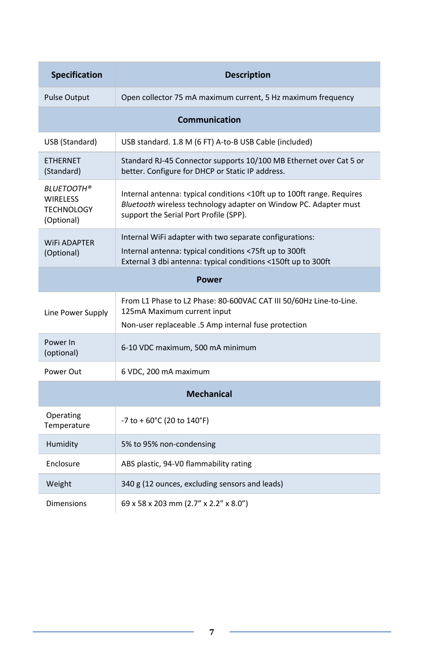| <b>Specification</b>                                                    | <b>Description</b>                                                                                                                                                                   |  |  |  |  |  |  |
|-------------------------------------------------------------------------|--------------------------------------------------------------------------------------------------------------------------------------------------------------------------------------|--|--|--|--|--|--|
| <b>Pulse Output</b>                                                     | Open collector 75 mA maximum current, 5 Hz maximum frequency                                                                                                                         |  |  |  |  |  |  |
| <b>Communication</b>                                                    |                                                                                                                                                                                      |  |  |  |  |  |  |
| USB (Standard)                                                          | USB standard. 1.8 M (6 FT) A-to-B USB Cable (included)                                                                                                                               |  |  |  |  |  |  |
| <b>ETHERNET</b><br>(Standard)                                           | Standard RJ-45 Connector supports 10/100 MB Ethernet over Cat 5 or<br>better. Configure for DHCP or Static IP address.                                                               |  |  |  |  |  |  |
| <b>BLUETOOTH®</b><br><b>WIRELESS</b><br><b>TECHNOLOGY</b><br>(Optional) | Internal antenna: typical conditions <10ft up to 100ft range. Requires<br>Bluetooth wireless technology adapter on Window PC. Adapter must<br>support the Serial Port Profile (SPP). |  |  |  |  |  |  |
| <b>WIFI ADAPTER</b><br>(Optional)                                       | Internal WiFi adapter with two separate configurations:<br>Internal antenna: typical conditions <75ft up to 300ft<br>External 3 dbi antenna: typical conditions <150ft up to 300ft   |  |  |  |  |  |  |
|                                                                         | Power                                                                                                                                                                                |  |  |  |  |  |  |
| Line Power Supply                                                       | From L1 Phase to L2 Phase: 80-600VAC CAT III 50/60Hz Line-to-Line.<br>125mA Maximum current input<br>Non-user replaceable .5 Amp internal fuse protection                            |  |  |  |  |  |  |
| Power In<br>(optional)                                                  | 6-10 VDC maximum, 500 mA minimum                                                                                                                                                     |  |  |  |  |  |  |
| Power Out                                                               | 6 VDC, 200 mA maximum                                                                                                                                                                |  |  |  |  |  |  |
| <b>Mechanical</b>                                                       |                                                                                                                                                                                      |  |  |  |  |  |  |
| Operating<br>Temperature                                                | $-7$ to $+60^{\circ}$ C (20 to 140°F)                                                                                                                                                |  |  |  |  |  |  |
| Humidity                                                                | 5% to 95% non-condensing                                                                                                                                                             |  |  |  |  |  |  |
| Enclosure                                                               | ABS plastic, 94-V0 flammability rating                                                                                                                                               |  |  |  |  |  |  |
| Weight                                                                  | 340 g (12 ounces, excluding sensors and leads)                                                                                                                                       |  |  |  |  |  |  |
| <b>Dimensions</b>                                                       | 69 x 58 x 203 mm (2.7" x 2.2" x 8.0")                                                                                                                                                |  |  |  |  |  |  |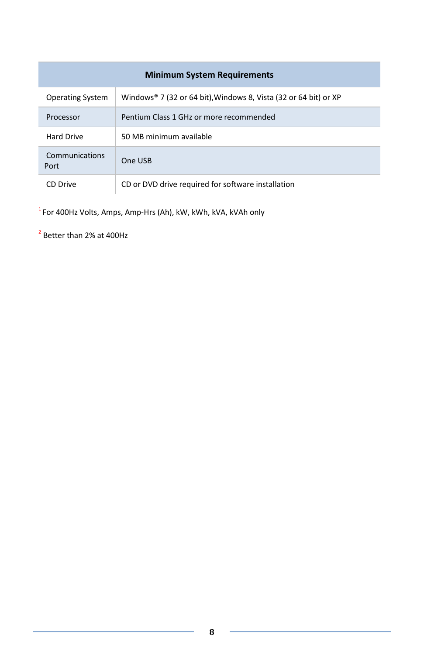| <b>Minimum System Requirements</b> |                                                                  |  |  |  |  |  |
|------------------------------------|------------------------------------------------------------------|--|--|--|--|--|
| <b>Operating System</b>            | Windows® 7 (32 or 64 bit), Windows 8, Vista (32 or 64 bit) or XP |  |  |  |  |  |
| Processor                          | Pentium Class 1 GHz or more recommended                          |  |  |  |  |  |
| <b>Hard Drive</b>                  | 50 MB minimum available                                          |  |  |  |  |  |
| Communications<br>Port             | One USB                                                          |  |  |  |  |  |
| CD Drive                           | CD or DVD drive required for software installation               |  |  |  |  |  |

 $^{\rm 1}$ For 400Hz Volts, Amps, Amp-Hrs (Ah), kW, kWh, kVA, kVAh only

<sup>2</sup> Better than 2% at 400Hz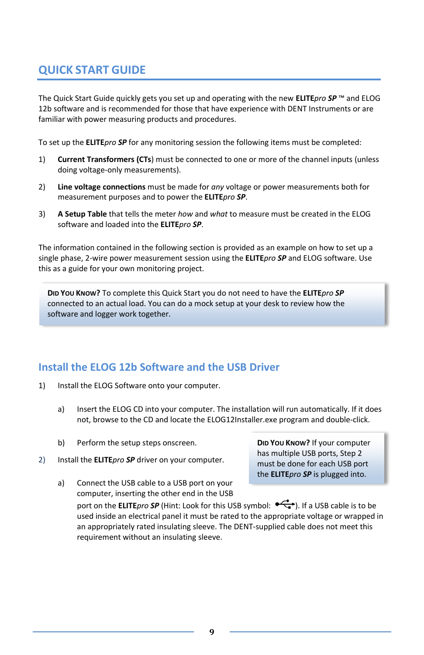# **QUICK START GUIDE**

The Quick Start Guide quickly gets you set up and operating with the new **ELITE***pro SP* ™ and ELOG 12b software and is recommended for those that have experience with DENT Instruments or are familiar with power measuring products and procedures.

To set up the **ELITE***pro SP* for any monitoring session the following items must be completed:

- 1) **Current Transformers (CTs**) must be connected to one or more of the channel inputs (unless doing voltage-only measurements).
- 2) **Line voltage connections** must be made for *any* voltage or power measurements both for measurement purposes and to power the **ELITE***pro SP*.
- 3) **A Setup Table** that tells the meter *how* and *what* to measure must be created in the ELOG software and loaded into the **ELITE***pro SP*.

The information contained in the following section is provided as an example on how to set up a single phase, 2-wire power measurement session using the **ELITE***pro SP* and ELOG software. Use this as a guide for your own monitoring project.

**DID YOU KNOW?** To complete this Quick Start you do not need to have the **ELITE***pro SP* connected to an actual load. You can do a mock setup at your desk to review how the software and logger work together.

## **Install the ELOG 12b Software and the USB Driver**

- 1) Install the ELOG Software onto your computer.
	- a) Insert the ELOG CD into your computer. The installation will run automatically. If it does not, browse to the CD and locate the ELOG12Installer.exe program and double-click.
	- b) Perform the setup steps onscreen.
- 2) Install the **ELITE***pro SP* driver on your computer.

**DID YOU KNOW?** If your computer has multiple USB ports, Step 2 must be done for each USB port the **ELITE***pro SP* is plugged into.

a) Connect the USB cable to a USB port on your computer, inserting the other end in the USB port on the **ELITE***pro* **SP** (Hint: Look for this USB symbol:  $\overrightarrow{C}$ ). If a USB cable is to be used inside an electrical panel it must be rated to the appropriate voltage or wrapped in an appropriately rated insulating sleeve. The DENT-supplied cable does not meet this requirement without an insulating sleeve.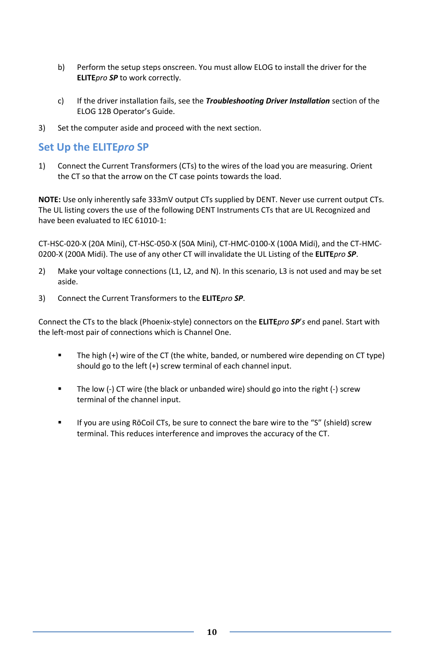- b) Perform the setup steps onscreen. You must allow ELOG to install the driver for the **ELITE***pro SP* to work correctly.
- c) If the driver installation fails, see the *Troubleshooting Driver Installation* section of the ELOG 12B Operator's Guide.
- 3) Set the computer aside and proceed with the next section.

## **Set Up the ELITE***pro* **SP**

1) Connect the Current Transformers (CTs) to the wires of the load you are measuring. Orient the CT so that the arrow on the CT case points towards the load.

**NOTE:** Use only inherently safe 333mV output CTs supplied by DENT. Never use current output CTs. The UL listing covers the use of the following DENT Instruments CTs that are UL Recognized and have been evaluated to IEC 61010-1:

CT-HSC-020-X (20A Mini), CT-HSC-050-X (50A Mini), CT-HMC-0100-X (100A Midi), and the CT-HMC-0200-X (200A Midi). The use of any other CT will invalidate the UL Listing of the **ELITE***pro SP*.

- 2) Make your voltage connections (L1, L2, and N). In this scenario, L3 is not used and may be set aside.
- 3) Connect the Current Transformers to the **ELITE***pro SP*.

Connect the CTs to the black (Phoenix-style) connectors on the **ELITE***pro SP*'*s* end panel. Start with the left-most pair of connections which is Channel One.

- The high (+) wire of the CT (the white, banded, or numbered wire depending on CT type) should go to the left (+) screw terminal of each channel input.
- The low (-) CT wire (the black or unbanded wire) should go into the right (-) screw terminal of the channel input.
- If you are using RōCoil CTs, be sure to connect the bare wire to the "S" (shield) screw terminal. This reduces interference and improves the accuracy of the CT.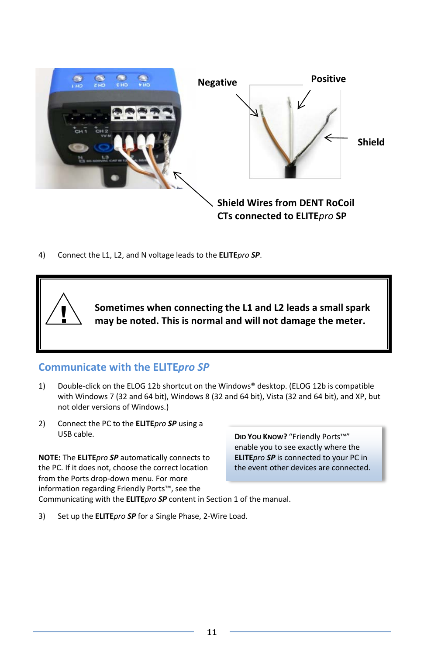

4) Connect the L1, L2, and N voltage leads to the **ELITE***pro SP*.



## **Communicate with the ELITE***pro SP*

- 1) Double-click on the ELOG 12b shortcut on the Windows® desktop. (ELOG 12b is compatible with Windows 7 (32 and 64 bit), Windows 8 (32 and 64 bit), Vista (32 and 64 bit), and XP, but not older versions of Windows.)
- 2) Connect the PC to the **ELITE***pro SP* using a USB cable.

**NOTE:** The **ELITE***pro SP* automatically connects to the PC. If it does not, choose the correct location from the Ports drop-down menu. For more information regarding Friendly Ports™, see the

**DID YOU KNOW?** "Friendly Ports™" enable you to see exactly where the **ELITE***pro SP* is connected to your PC in the event other devices are connected.

Communicating with the **ELITE***pro SP* content in Section 1 of the manual.

3) Set up the **ELITE***pro SP* for a Single Phase, 2-Wire Load.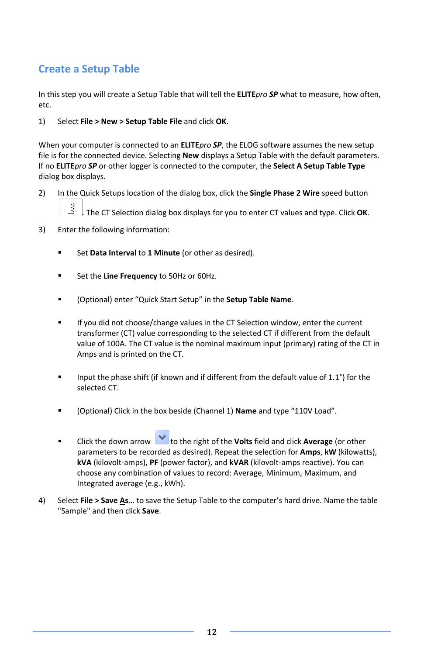# **Create a Setup Table**

In this step you will create a Setup Table that will tell the **ELITE***pro SP* what to measure, how often, etc.

#### 1) Select **File > New > Setup Table File** and click **OK**.

When your computer is connected to an **ELITE***pro SP*, the ELOG software assumes the new setup file is for the connected device. Selecting **New** displays a Setup Table with the default parameters. If no **ELITE***pro SP* or other logger is connected to the computer, the **Select A Setup Table Type** dialog box displays.

2) In the Quick Setups location of the dialog box, click the **Single Phase 2 Wire** speed button

. The CT Selection dialog box displays for you to enter CT values and type. Click **OK**.

- 3) Enter the following information:
	- Set **Data Interval** to **1 Minute** (or other as desired).
	- Set the **Line Frequency** to 50Hz or 60Hz.
	- (Optional) enter "Quick Start Setup" in the **Setup Table Name**.
	- **If you did not choose/change values in the CT Selection window, enter the current** transformer (CT) value corresponding to the selected CT if different from the default value of 100A. The CT value is the nominal maximum input (primary) rating of the CT in Amps and is printed on the CT.
	- Input the phase shift (if known and if different from the default value of 1.1°) for the selected CT.
	- (Optional) Click in the box beside (Channel 1) **Name** and type "110V Load".
	- **EXECUTE:** Click the down arrow **to the right of the Volts** field and click **Average** (or other parameters to be recorded as desired). Repeat the selection for **Amps**, **kW** (kilowatts), **kVA** (kilovolt-amps), **PF** (power factor), and **kVAR** (kilovolt-amps reactive). You can choose any combination of values to record: Average, Minimum, Maximum, and Integrated average (e.g., kWh).
- 4) Select **File > Save As…** to save the Setup Table to the computer's hard drive. Name the table "Sample" and then click **Save**.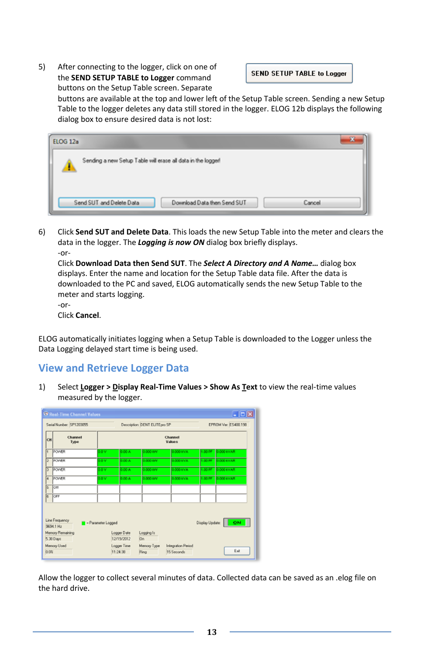5) After connecting to the logger, click on one of the **SEND SETUP TABLE to Logger** command buttons on the Setup Table screen. Separate

**SEND SETUP TABLE to Logger** 

buttons are available at the top and lower left of the Setup Table screen. Sending a new Setup Table to the logger deletes any data still stored in the logger. ELOG 12b displays the following dialog box to ensure desired data is not lost:

| <b>ELOG 12a</b>                                                   | 25 |
|-------------------------------------------------------------------|----|
| Sending a new Setup Table will erase all data in the logger!      |    |
| Send SUT and Delete Data<br>Download Data then Send SUT<br>Cancel |    |

6) Click **Send SUT and Delete Data**. This loads the new Setup Table into the meter and clears the data in the logger. The *Logging is now ON* dialog box briefly displays. -or-

Click **Download Data then Send SUT**. The *Select A Directory and A Name…* dialog box displays. Enter the name and location for the Setup Table data file. After the data is downloaded to the PC and saved, ELOG automatically sends the new Setup Table to the meter and starts logging.

-or-

Click **Cancel**.

ELOG automatically initiates logging when a Setup Table is downloaded to the Logger unless the Data Logging delayed start time is being used.

## **View and Retrieve Logger Data**

1) Select **Logger > Display Real-Time Values > Show As Text** to view the real-time values measured by the logger.

|                                                                                            | <sup>S</sup> Real-Time Channel Values |                   |                                |                     |                                         |         | $  \times$           |  |  |
|--------------------------------------------------------------------------------------------|---------------------------------------|-------------------|--------------------------------|---------------------|-----------------------------------------|---------|----------------------|--|--|
|                                                                                            | Serial Number: SP1203055              |                   | Description: DENT ELITEpro SP  |                     |                                         |         | EPROM Ver: ES400.198 |  |  |
| CH                                                                                         | Channel<br>Type                       | Channel<br>Values |                                |                     |                                         |         |                      |  |  |
| F                                                                                          | POWER                                 | 0.0 V             | 0.00 A                         | 0.000 KW            | 0.000 kVA                               |         | 1.00 PF 0.000 KVAR   |  |  |
| E                                                                                          | POMER                                 | oov               | 000A                           | 0.000 KW            | 0.000 kVA                               | 1.00 PF | 0.000 kVAR           |  |  |
| 3                                                                                          | POWER                                 | 0.0 V             | 0.00 A                         | 0.000 KW            | 0.000 KVA                               | 1.00 PF | 0.000 KVAR           |  |  |
| ī.                                                                                         | <b>POMER</b>                          | onv               | 0.00 A                         | o ooo kw            | 0.000 kVA                               | 1.00 PF | 0.000 kVAR           |  |  |
| ß                                                                                          | lon                                   |                   |                                |                     |                                         |         |                      |  |  |
| F                                                                                          | OFF                                   |                   |                                |                     |                                         |         |                      |  |  |
| Line Frequency<br>Display Update:<br>ON<br>- Parameter Logged<br>9694.1 Hz                 |                                       |                   |                                |                     |                                         |         |                      |  |  |
| Memory Remaining<br>Logger Date<br>Logging Is<br>5.38 Days<br>12/19/2012<br>D <sub>n</sub> |                                       |                   |                                |                     |                                         |         |                      |  |  |
| 0.0%                                                                                       | Memory Used                           |                   | <b>Logger Time</b><br>11:24:38 | Memory Type<br>Ring | <b>Integration Period</b><br>15 Seconds |         | Exit                 |  |  |

Allow the logger to collect several minutes of data. Collected data can be saved as an .elog file on the hard drive.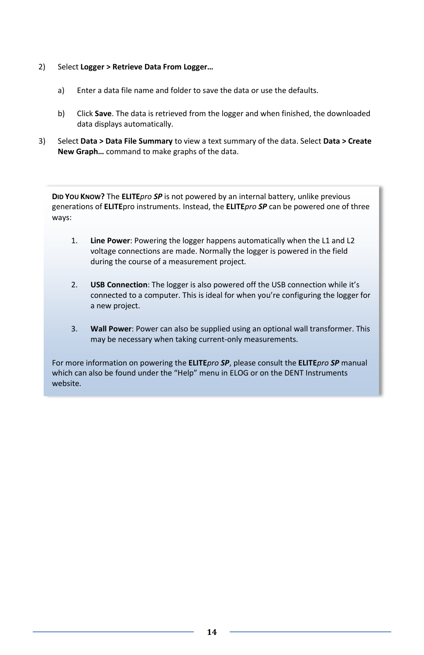- 2) Select **Logger > Retrieve Data From Logger…**
	- a) Enter a data file name and folder to save the data or use the defaults.
	- b) Click **Save**. The data is retrieved from the logger and when finished, the downloaded data displays automatically.
- 3) Select **Data > Data File Summary** to view a text summary of the data. Select **Data > Create New Graph…** command to make graphs of the data.

**DID YOU KNOW?** The **ELITE***pro SP* is not powered by an internal battery, unlike previous generations of **ELITE**pro instruments. Instead, the **ELITE***pro SP* can be powered one of three ways:

- 1. **Line Power**: Powering the logger happens automatically when the L1 and L2 voltage connections are made. Normally the logger is powered in the field during the course of a measurement project.
- 2. **USB Connection**: The logger is also powered off the USB connection while it's connected to a computer. This is ideal for when you're configuring the logger for a new project.
- 3. **Wall Power**: Power can also be supplied using an optional wall transformer. This may be necessary when taking current-only measurements.

For more information on powering the **ELITE***pro SP*, please consult the **ELITE***pro SP* manual which can also be found under the "Help" menu in ELOG or on the DENT Instruments website.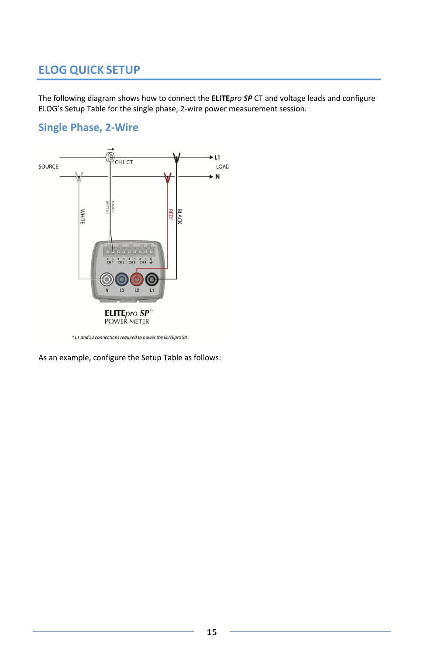# **ELOG QUICK SETUP**

The following diagram shows how to connect the **ELITE***pro SP* CT and voltage leads and configure ELOG's Setup Table for the single phase, 2-wire power measurement session.

## **Single Phase, 2-Wire**



\*L1 and L2 connections required to power the ELITEpro SP.

As an example, configure the Setup Table as follows: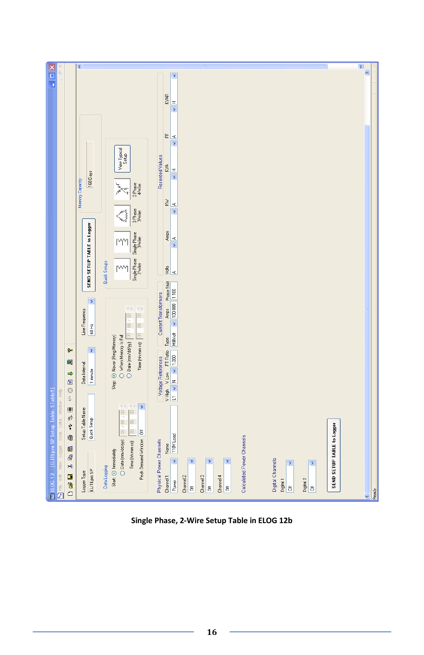

**Single Phase, 2-Wire Setup Table in ELOG 12b**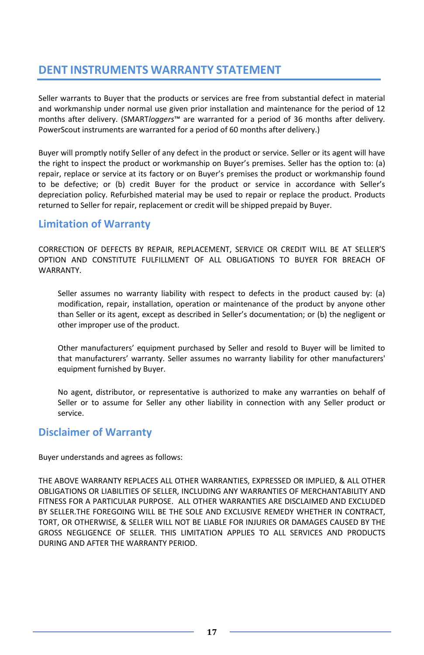# **DENT INSTRUMENTS WARRANTY STATEMENT**

Seller warrants to Buyer that the products or services are free from substantial defect in material and workmanship under normal use given prior installation and maintenance for the period of 12 months after delivery. (SMART*loggers*™ are warranted for a period of 36 months after delivery. PowerScout instruments are warranted for a period of 60 months after delivery.)

Buyer will promptly notify Seller of any defect in the product or service. Seller or its agent will have the right to inspect the product or workmanship on Buyer's premises. Seller has the option to: (a) repair, replace or service at its factory or on Buyer's premises the product or workmanship found to be defective; or (b) credit Buyer for the product or service in accordance with Seller's depreciation policy. Refurbished material may be used to repair or replace the product. Products returned to Seller for repair, replacement or credit will be shipped prepaid by Buyer.

## **Limitation of Warranty**

CORRECTION OF DEFECTS BY REPAIR, REPLACEMENT, SERVICE OR CREDIT WILL BE AT SELLER'S OPTION AND CONSTITUTE FULFILLMENT OF ALL OBLIGATIONS TO BUYER FOR BREACH OF WARRANTY.

Seller assumes no warranty liability with respect to defects in the product caused by: (a) modification, repair, installation, operation or maintenance of the product by anyone other than Seller or its agent, except as described in Seller's documentation; or (b) the negligent or other improper use of the product.

Other manufacturers' equipment purchased by Seller and resold to Buyer will be limited to that manufacturers' warranty. Seller assumes no warranty liability for other manufacturers' equipment furnished by Buyer.

No agent, distributor, or representative is authorized to make any warranties on behalf of Seller or to assume for Seller any other liability in connection with any Seller product or service.

## **Disclaimer of Warranty**

Buyer understands and agrees as follows:

THE ABOVE WARRANTY REPLACES ALL OTHER WARRANTIES, EXPRESSED OR IMPLIED, & ALL OTHER OBLIGATIONS OR LIABILITIES OF SELLER, INCLUDING ANY WARRANTIES OF MERCHANTABILITY AND FITNESS FOR A PARTICULAR PURPOSE. ALL OTHER WARRANTIES ARE DISCLAIMED AND EXCLUDED BY SELLER.THE FOREGOING WILL BE THE SOLE AND EXCLUSIVE REMEDY WHETHER IN CONTRACT, TORT, OR OTHERWISE, & SELLER WILL NOT BE LIABLE FOR INJURIES OR DAMAGES CAUSED BY THE GROSS NEGLIGENCE OF SELLER. THIS LIMITATION APPLIES TO ALL SERVICES AND PRODUCTS DURING AND AFTER THE WARRANTY PERIOD.